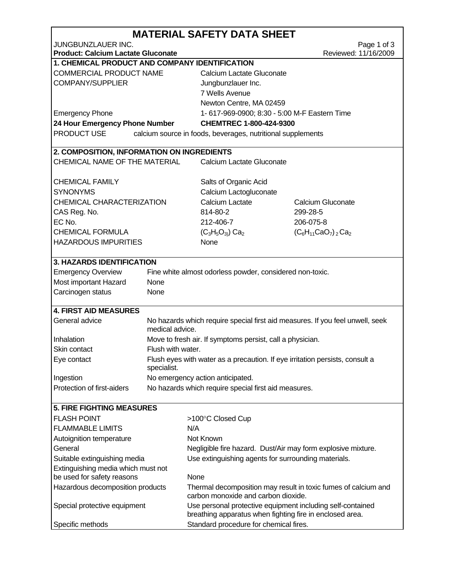| JUNGBUNZLAUER INC.<br>Page 1 of 3<br>Reviewed: 11/16/2009<br><b>Product: Calcium Lactate Gluconate</b><br>1. CHEMICAL PRODUCT AND COMPANY IDENTIFICATION<br>COMMERCIAL PRODUCT NAME<br>Calcium Lactate Gluconate<br><b>COMPANY/SUPPLIER</b><br>Jungbunzlauer Inc.<br>7 Wells Avenue<br>Newton Centre, MA 02459<br><b>Emergency Phone</b><br>1-617-969-0900; 8:30 - 5:00 M-F Eastern Time<br>24 Hour Emergency Phone Number<br>CHEMTREC 1-800-424-9300<br>PRODUCT USE<br>calcium source in foods, beverages, nutritional supplements<br>2. COMPOSITION, INFORMATION ON INGREDIENTS<br>CHEMICAL NAME OF THE MATERIAL<br>Calcium Lactate Gluconate<br>CHEMICAL FAMILY<br>Salts of Organic Acid<br><b>SYNONYMS</b><br>Calcium Lactogluconate<br>CHEMICAL CHARACTERIZATION<br>Calcium Lactate<br>Calcium Gluconate<br>CAS Reg. No.<br>814-80-2<br>299-28-5<br>EC No.<br>212-406-7<br>206-075-8<br><b>CHEMICAL FORMULA</b><br>$(C_3H_5O_3)$ Ca <sub>2</sub><br>$(C_6H_{11}CaO_7)_{2}Ca_2$<br><b>HAZARDOUS IMPURITIES</b><br>None<br><b>3. HAZARDS IDENTIFICATION</b><br><b>Emergency Overview</b><br>Fine white almost odorless powder, considered non-toxic.<br>Most important Hazard<br>None<br>Carcinogen status<br>None<br><b>4. FIRST AID MEASURES</b><br>General advice<br>No hazards which require special first aid measures. If you feel unwell, seek<br>medical advice.<br>Inhalation<br>Move to fresh air. If symptoms persist, call a physician.<br>Flush with water.<br>Skin contact<br>Flush eyes with water as a precaution. If eye irritation persists, consult a<br>Eye contact<br>specialist.<br>Ingestion<br>No emergency action anticipated.<br>Protection of first-aiders<br>No hazards which require special first aid measures.<br><b>5. FIRE FIGHTING MEASURES</b><br><b>FLASH POINT</b><br>>100°C Closed Cup<br><b>FLAMMABLE LIMITS</b><br>N/A<br>Not Known<br>Autoignition temperature<br>General<br>Negligible fire hazard. Dust/Air may form explosive mixture.<br>Suitable extinguishing media<br>Use extinguishing agents for surrounding materials.<br>Extinguishing media which must not<br>be used for safety reasons<br>None<br>Hazardous decomposition products<br>Thermal decomposition may result in toxic fumes of calcium and<br>carbon monoxide and carbon dioxide.<br>Special protective equipment<br>Use personal protective equipment including self-contained<br>breathing apparatus when fighting fire in enclosed area.<br>Standard procedure for chemical fires.<br>Specific methods | <b>MATERIAL SAFETY DATA SHEET</b> |  |  |  |  |  |  |  |
|-------------------------------------------------------------------------------------------------------------------------------------------------------------------------------------------------------------------------------------------------------------------------------------------------------------------------------------------------------------------------------------------------------------------------------------------------------------------------------------------------------------------------------------------------------------------------------------------------------------------------------------------------------------------------------------------------------------------------------------------------------------------------------------------------------------------------------------------------------------------------------------------------------------------------------------------------------------------------------------------------------------------------------------------------------------------------------------------------------------------------------------------------------------------------------------------------------------------------------------------------------------------------------------------------------------------------------------------------------------------------------------------------------------------------------------------------------------------------------------------------------------------------------------------------------------------------------------------------------------------------------------------------------------------------------------------------------------------------------------------------------------------------------------------------------------------------------------------------------------------------------------------------------------------------------------------------------------------------------------------------------------------------------------------------------------------------------------------------------------------------------------------------------------------------------------------------------------------------------------------------------------------------------------------------------------------------------------------------------------------------------------------------------------------------------------------------------------------------------------------------------------------------------|-----------------------------------|--|--|--|--|--|--|--|
|                                                                                                                                                                                                                                                                                                                                                                                                                                                                                                                                                                                                                                                                                                                                                                                                                                                                                                                                                                                                                                                                                                                                                                                                                                                                                                                                                                                                                                                                                                                                                                                                                                                                                                                                                                                                                                                                                                                                                                                                                                                                                                                                                                                                                                                                                                                                                                                                                                                                                                                               |                                   |  |  |  |  |  |  |  |
|                                                                                                                                                                                                                                                                                                                                                                                                                                                                                                                                                                                                                                                                                                                                                                                                                                                                                                                                                                                                                                                                                                                                                                                                                                                                                                                                                                                                                                                                                                                                                                                                                                                                                                                                                                                                                                                                                                                                                                                                                                                                                                                                                                                                                                                                                                                                                                                                                                                                                                                               |                                   |  |  |  |  |  |  |  |
|                                                                                                                                                                                                                                                                                                                                                                                                                                                                                                                                                                                                                                                                                                                                                                                                                                                                                                                                                                                                                                                                                                                                                                                                                                                                                                                                                                                                                                                                                                                                                                                                                                                                                                                                                                                                                                                                                                                                                                                                                                                                                                                                                                                                                                                                                                                                                                                                                                                                                                                               |                                   |  |  |  |  |  |  |  |
|                                                                                                                                                                                                                                                                                                                                                                                                                                                                                                                                                                                                                                                                                                                                                                                                                                                                                                                                                                                                                                                                                                                                                                                                                                                                                                                                                                                                                                                                                                                                                                                                                                                                                                                                                                                                                                                                                                                                                                                                                                                                                                                                                                                                                                                                                                                                                                                                                                                                                                                               |                                   |  |  |  |  |  |  |  |
|                                                                                                                                                                                                                                                                                                                                                                                                                                                                                                                                                                                                                                                                                                                                                                                                                                                                                                                                                                                                                                                                                                                                                                                                                                                                                                                                                                                                                                                                                                                                                                                                                                                                                                                                                                                                                                                                                                                                                                                                                                                                                                                                                                                                                                                                                                                                                                                                                                                                                                                               |                                   |  |  |  |  |  |  |  |
|                                                                                                                                                                                                                                                                                                                                                                                                                                                                                                                                                                                                                                                                                                                                                                                                                                                                                                                                                                                                                                                                                                                                                                                                                                                                                                                                                                                                                                                                                                                                                                                                                                                                                                                                                                                                                                                                                                                                                                                                                                                                                                                                                                                                                                                                                                                                                                                                                                                                                                                               |                                   |  |  |  |  |  |  |  |
|                                                                                                                                                                                                                                                                                                                                                                                                                                                                                                                                                                                                                                                                                                                                                                                                                                                                                                                                                                                                                                                                                                                                                                                                                                                                                                                                                                                                                                                                                                                                                                                                                                                                                                                                                                                                                                                                                                                                                                                                                                                                                                                                                                                                                                                                                                                                                                                                                                                                                                                               |                                   |  |  |  |  |  |  |  |
|                                                                                                                                                                                                                                                                                                                                                                                                                                                                                                                                                                                                                                                                                                                                                                                                                                                                                                                                                                                                                                                                                                                                                                                                                                                                                                                                                                                                                                                                                                                                                                                                                                                                                                                                                                                                                                                                                                                                                                                                                                                                                                                                                                                                                                                                                                                                                                                                                                                                                                                               |                                   |  |  |  |  |  |  |  |
|                                                                                                                                                                                                                                                                                                                                                                                                                                                                                                                                                                                                                                                                                                                                                                                                                                                                                                                                                                                                                                                                                                                                                                                                                                                                                                                                                                                                                                                                                                                                                                                                                                                                                                                                                                                                                                                                                                                                                                                                                                                                                                                                                                                                                                                                                                                                                                                                                                                                                                                               |                                   |  |  |  |  |  |  |  |
|                                                                                                                                                                                                                                                                                                                                                                                                                                                                                                                                                                                                                                                                                                                                                                                                                                                                                                                                                                                                                                                                                                                                                                                                                                                                                                                                                                                                                                                                                                                                                                                                                                                                                                                                                                                                                                                                                                                                                                                                                                                                                                                                                                                                                                                                                                                                                                                                                                                                                                                               |                                   |  |  |  |  |  |  |  |
|                                                                                                                                                                                                                                                                                                                                                                                                                                                                                                                                                                                                                                                                                                                                                                                                                                                                                                                                                                                                                                                                                                                                                                                                                                                                                                                                                                                                                                                                                                                                                                                                                                                                                                                                                                                                                                                                                                                                                                                                                                                                                                                                                                                                                                                                                                                                                                                                                                                                                                                               |                                   |  |  |  |  |  |  |  |
|                                                                                                                                                                                                                                                                                                                                                                                                                                                                                                                                                                                                                                                                                                                                                                                                                                                                                                                                                                                                                                                                                                                                                                                                                                                                                                                                                                                                                                                                                                                                                                                                                                                                                                                                                                                                                                                                                                                                                                                                                                                                                                                                                                                                                                                                                                                                                                                                                                                                                                                               |                                   |  |  |  |  |  |  |  |
|                                                                                                                                                                                                                                                                                                                                                                                                                                                                                                                                                                                                                                                                                                                                                                                                                                                                                                                                                                                                                                                                                                                                                                                                                                                                                                                                                                                                                                                                                                                                                                                                                                                                                                                                                                                                                                                                                                                                                                                                                                                                                                                                                                                                                                                                                                                                                                                                                                                                                                                               |                                   |  |  |  |  |  |  |  |
|                                                                                                                                                                                                                                                                                                                                                                                                                                                                                                                                                                                                                                                                                                                                                                                                                                                                                                                                                                                                                                                                                                                                                                                                                                                                                                                                                                                                                                                                                                                                                                                                                                                                                                                                                                                                                                                                                                                                                                                                                                                                                                                                                                                                                                                                                                                                                                                                                                                                                                                               |                                   |  |  |  |  |  |  |  |
|                                                                                                                                                                                                                                                                                                                                                                                                                                                                                                                                                                                                                                                                                                                                                                                                                                                                                                                                                                                                                                                                                                                                                                                                                                                                                                                                                                                                                                                                                                                                                                                                                                                                                                                                                                                                                                                                                                                                                                                                                                                                                                                                                                                                                                                                                                                                                                                                                                                                                                                               |                                   |  |  |  |  |  |  |  |
|                                                                                                                                                                                                                                                                                                                                                                                                                                                                                                                                                                                                                                                                                                                                                                                                                                                                                                                                                                                                                                                                                                                                                                                                                                                                                                                                                                                                                                                                                                                                                                                                                                                                                                                                                                                                                                                                                                                                                                                                                                                                                                                                                                                                                                                                                                                                                                                                                                                                                                                               |                                   |  |  |  |  |  |  |  |
|                                                                                                                                                                                                                                                                                                                                                                                                                                                                                                                                                                                                                                                                                                                                                                                                                                                                                                                                                                                                                                                                                                                                                                                                                                                                                                                                                                                                                                                                                                                                                                                                                                                                                                                                                                                                                                                                                                                                                                                                                                                                                                                                                                                                                                                                                                                                                                                                                                                                                                                               |                                   |  |  |  |  |  |  |  |
|                                                                                                                                                                                                                                                                                                                                                                                                                                                                                                                                                                                                                                                                                                                                                                                                                                                                                                                                                                                                                                                                                                                                                                                                                                                                                                                                                                                                                                                                                                                                                                                                                                                                                                                                                                                                                                                                                                                                                                                                                                                                                                                                                                                                                                                                                                                                                                                                                                                                                                                               |                                   |  |  |  |  |  |  |  |
|                                                                                                                                                                                                                                                                                                                                                                                                                                                                                                                                                                                                                                                                                                                                                                                                                                                                                                                                                                                                                                                                                                                                                                                                                                                                                                                                                                                                                                                                                                                                                                                                                                                                                                                                                                                                                                                                                                                                                                                                                                                                                                                                                                                                                                                                                                                                                                                                                                                                                                                               |                                   |  |  |  |  |  |  |  |
|                                                                                                                                                                                                                                                                                                                                                                                                                                                                                                                                                                                                                                                                                                                                                                                                                                                                                                                                                                                                                                                                                                                                                                                                                                                                                                                                                                                                                                                                                                                                                                                                                                                                                                                                                                                                                                                                                                                                                                                                                                                                                                                                                                                                                                                                                                                                                                                                                                                                                                                               |                                   |  |  |  |  |  |  |  |
|                                                                                                                                                                                                                                                                                                                                                                                                                                                                                                                                                                                                                                                                                                                                                                                                                                                                                                                                                                                                                                                                                                                                                                                                                                                                                                                                                                                                                                                                                                                                                                                                                                                                                                                                                                                                                                                                                                                                                                                                                                                                                                                                                                                                                                                                                                                                                                                                                                                                                                                               |                                   |  |  |  |  |  |  |  |
|                                                                                                                                                                                                                                                                                                                                                                                                                                                                                                                                                                                                                                                                                                                                                                                                                                                                                                                                                                                                                                                                                                                                                                                                                                                                                                                                                                                                                                                                                                                                                                                                                                                                                                                                                                                                                                                                                                                                                                                                                                                                                                                                                                                                                                                                                                                                                                                                                                                                                                                               |                                   |  |  |  |  |  |  |  |
|                                                                                                                                                                                                                                                                                                                                                                                                                                                                                                                                                                                                                                                                                                                                                                                                                                                                                                                                                                                                                                                                                                                                                                                                                                                                                                                                                                                                                                                                                                                                                                                                                                                                                                                                                                                                                                                                                                                                                                                                                                                                                                                                                                                                                                                                                                                                                                                                                                                                                                                               |                                   |  |  |  |  |  |  |  |
|                                                                                                                                                                                                                                                                                                                                                                                                                                                                                                                                                                                                                                                                                                                                                                                                                                                                                                                                                                                                                                                                                                                                                                                                                                                                                                                                                                                                                                                                                                                                                                                                                                                                                                                                                                                                                                                                                                                                                                                                                                                                                                                                                                                                                                                                                                                                                                                                                                                                                                                               |                                   |  |  |  |  |  |  |  |
|                                                                                                                                                                                                                                                                                                                                                                                                                                                                                                                                                                                                                                                                                                                                                                                                                                                                                                                                                                                                                                                                                                                                                                                                                                                                                                                                                                                                                                                                                                                                                                                                                                                                                                                                                                                                                                                                                                                                                                                                                                                                                                                                                                                                                                                                                                                                                                                                                                                                                                                               |                                   |  |  |  |  |  |  |  |
|                                                                                                                                                                                                                                                                                                                                                                                                                                                                                                                                                                                                                                                                                                                                                                                                                                                                                                                                                                                                                                                                                                                                                                                                                                                                                                                                                                                                                                                                                                                                                                                                                                                                                                                                                                                                                                                                                                                                                                                                                                                                                                                                                                                                                                                                                                                                                                                                                                                                                                                               |                                   |  |  |  |  |  |  |  |
|                                                                                                                                                                                                                                                                                                                                                                                                                                                                                                                                                                                                                                                                                                                                                                                                                                                                                                                                                                                                                                                                                                                                                                                                                                                                                                                                                                                                                                                                                                                                                                                                                                                                                                                                                                                                                                                                                                                                                                                                                                                                                                                                                                                                                                                                                                                                                                                                                                                                                                                               |                                   |  |  |  |  |  |  |  |
|                                                                                                                                                                                                                                                                                                                                                                                                                                                                                                                                                                                                                                                                                                                                                                                                                                                                                                                                                                                                                                                                                                                                                                                                                                                                                                                                                                                                                                                                                                                                                                                                                                                                                                                                                                                                                                                                                                                                                                                                                                                                                                                                                                                                                                                                                                                                                                                                                                                                                                                               |                                   |  |  |  |  |  |  |  |
|                                                                                                                                                                                                                                                                                                                                                                                                                                                                                                                                                                                                                                                                                                                                                                                                                                                                                                                                                                                                                                                                                                                                                                                                                                                                                                                                                                                                                                                                                                                                                                                                                                                                                                                                                                                                                                                                                                                                                                                                                                                                                                                                                                                                                                                                                                                                                                                                                                                                                                                               |                                   |  |  |  |  |  |  |  |
|                                                                                                                                                                                                                                                                                                                                                                                                                                                                                                                                                                                                                                                                                                                                                                                                                                                                                                                                                                                                                                                                                                                                                                                                                                                                                                                                                                                                                                                                                                                                                                                                                                                                                                                                                                                                                                                                                                                                                                                                                                                                                                                                                                                                                                                                                                                                                                                                                                                                                                                               |                                   |  |  |  |  |  |  |  |
|                                                                                                                                                                                                                                                                                                                                                                                                                                                                                                                                                                                                                                                                                                                                                                                                                                                                                                                                                                                                                                                                                                                                                                                                                                                                                                                                                                                                                                                                                                                                                                                                                                                                                                                                                                                                                                                                                                                                                                                                                                                                                                                                                                                                                                                                                                                                                                                                                                                                                                                               |                                   |  |  |  |  |  |  |  |
|                                                                                                                                                                                                                                                                                                                                                                                                                                                                                                                                                                                                                                                                                                                                                                                                                                                                                                                                                                                                                                                                                                                                                                                                                                                                                                                                                                                                                                                                                                                                                                                                                                                                                                                                                                                                                                                                                                                                                                                                                                                                                                                                                                                                                                                                                                                                                                                                                                                                                                                               |                                   |  |  |  |  |  |  |  |
|                                                                                                                                                                                                                                                                                                                                                                                                                                                                                                                                                                                                                                                                                                                                                                                                                                                                                                                                                                                                                                                                                                                                                                                                                                                                                                                                                                                                                                                                                                                                                                                                                                                                                                                                                                                                                                                                                                                                                                                                                                                                                                                                                                                                                                                                                                                                                                                                                                                                                                                               |                                   |  |  |  |  |  |  |  |
|                                                                                                                                                                                                                                                                                                                                                                                                                                                                                                                                                                                                                                                                                                                                                                                                                                                                                                                                                                                                                                                                                                                                                                                                                                                                                                                                                                                                                                                                                                                                                                                                                                                                                                                                                                                                                                                                                                                                                                                                                                                                                                                                                                                                                                                                                                                                                                                                                                                                                                                               |                                   |  |  |  |  |  |  |  |
|                                                                                                                                                                                                                                                                                                                                                                                                                                                                                                                                                                                                                                                                                                                                                                                                                                                                                                                                                                                                                                                                                                                                                                                                                                                                                                                                                                                                                                                                                                                                                                                                                                                                                                                                                                                                                                                                                                                                                                                                                                                                                                                                                                                                                                                                                                                                                                                                                                                                                                                               |                                   |  |  |  |  |  |  |  |
|                                                                                                                                                                                                                                                                                                                                                                                                                                                                                                                                                                                                                                                                                                                                                                                                                                                                                                                                                                                                                                                                                                                                                                                                                                                                                                                                                                                                                                                                                                                                                                                                                                                                                                                                                                                                                                                                                                                                                                                                                                                                                                                                                                                                                                                                                                                                                                                                                                                                                                                               |                                   |  |  |  |  |  |  |  |
|                                                                                                                                                                                                                                                                                                                                                                                                                                                                                                                                                                                                                                                                                                                                                                                                                                                                                                                                                                                                                                                                                                                                                                                                                                                                                                                                                                                                                                                                                                                                                                                                                                                                                                                                                                                                                                                                                                                                                                                                                                                                                                                                                                                                                                                                                                                                                                                                                                                                                                                               |                                   |  |  |  |  |  |  |  |
|                                                                                                                                                                                                                                                                                                                                                                                                                                                                                                                                                                                                                                                                                                                                                                                                                                                                                                                                                                                                                                                                                                                                                                                                                                                                                                                                                                                                                                                                                                                                                                                                                                                                                                                                                                                                                                                                                                                                                                                                                                                                                                                                                                                                                                                                                                                                                                                                                                                                                                                               |                                   |  |  |  |  |  |  |  |
|                                                                                                                                                                                                                                                                                                                                                                                                                                                                                                                                                                                                                                                                                                                                                                                                                                                                                                                                                                                                                                                                                                                                                                                                                                                                                                                                                                                                                                                                                                                                                                                                                                                                                                                                                                                                                                                                                                                                                                                                                                                                                                                                                                                                                                                                                                                                                                                                                                                                                                                               |                                   |  |  |  |  |  |  |  |
|                                                                                                                                                                                                                                                                                                                                                                                                                                                                                                                                                                                                                                                                                                                                                                                                                                                                                                                                                                                                                                                                                                                                                                                                                                                                                                                                                                                                                                                                                                                                                                                                                                                                                                                                                                                                                                                                                                                                                                                                                                                                                                                                                                                                                                                                                                                                                                                                                                                                                                                               |                                   |  |  |  |  |  |  |  |
|                                                                                                                                                                                                                                                                                                                                                                                                                                                                                                                                                                                                                                                                                                                                                                                                                                                                                                                                                                                                                                                                                                                                                                                                                                                                                                                                                                                                                                                                                                                                                                                                                                                                                                                                                                                                                                                                                                                                                                                                                                                                                                                                                                                                                                                                                                                                                                                                                                                                                                                               |                                   |  |  |  |  |  |  |  |
|                                                                                                                                                                                                                                                                                                                                                                                                                                                                                                                                                                                                                                                                                                                                                                                                                                                                                                                                                                                                                                                                                                                                                                                                                                                                                                                                                                                                                                                                                                                                                                                                                                                                                                                                                                                                                                                                                                                                                                                                                                                                                                                                                                                                                                                                                                                                                                                                                                                                                                                               |                                   |  |  |  |  |  |  |  |
|                                                                                                                                                                                                                                                                                                                                                                                                                                                                                                                                                                                                                                                                                                                                                                                                                                                                                                                                                                                                                                                                                                                                                                                                                                                                                                                                                                                                                                                                                                                                                                                                                                                                                                                                                                                                                                                                                                                                                                                                                                                                                                                                                                                                                                                                                                                                                                                                                                                                                                                               |                                   |  |  |  |  |  |  |  |
|                                                                                                                                                                                                                                                                                                                                                                                                                                                                                                                                                                                                                                                                                                                                                                                                                                                                                                                                                                                                                                                                                                                                                                                                                                                                                                                                                                                                                                                                                                                                                                                                                                                                                                                                                                                                                                                                                                                                                                                                                                                                                                                                                                                                                                                                                                                                                                                                                                                                                                                               |                                   |  |  |  |  |  |  |  |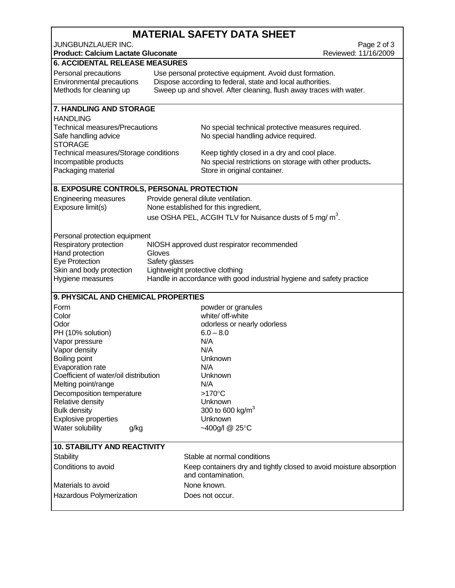## **MATERIAL SAFETY DATA SHEET**

| JUNGBUNZLAUER INC.<br><b>Product: Calcium Lactate Gluconate</b>                      | Page 2 of 3<br>Reviewed: 11/16/2009 |                                                                                                                                                                                              |  |
|--------------------------------------------------------------------------------------|-------------------------------------|----------------------------------------------------------------------------------------------------------------------------------------------------------------------------------------------|--|
| <b>6. ACCIDENTAL RELEASE MEASURES</b>                                                |                                     |                                                                                                                                                                                              |  |
| Personal precautions<br>Environmental precautions<br>Methods for cleaning up         |                                     | Use personal protective equipment. Avoid dust formation.<br>Dispose according to federal, state and local authorities.<br>Sweep up and shovel. After cleaning, flush away traces with water. |  |
| 7. HANDLING AND STORAGE                                                              |                                     |                                                                                                                                                                                              |  |
| <b>HANDLING</b>                                                                      |                                     |                                                                                                                                                                                              |  |
| <b>Technical measures/Precautions</b><br>Safe handling advice<br><b>STORAGE</b>      |                                     | No special technical protective measures required.<br>No special handling advice required.                                                                                                   |  |
| Technical measures/Storage conditions<br>Incompatible products<br>Packaging material |                                     | Keep tightly closed in a dry and cool place.<br>No special restrictions on storage with other products.<br>Store in original container.                                                      |  |
| 8. EXPOSURE CONTROLS, PERSONAL PROTECTION                                            |                                     |                                                                                                                                                                                              |  |
| <b>Engineering measures</b>                                                          |                                     | Provide general dilute ventilation.                                                                                                                                                          |  |
| Exposure limit(s)                                                                    |                                     | None established for this ingredient,                                                                                                                                                        |  |
|                                                                                      |                                     | use OSHA PEL, ACGIH TLV for Nuisance dusts of 5 mg/ m <sup>3</sup> .                                                                                                                         |  |
|                                                                                      |                                     |                                                                                                                                                                                              |  |
| Personal protection equipment                                                        |                                     |                                                                                                                                                                                              |  |
| Respiratory protection                                                               | Gloves                              | NIOSH approved dust respirator recommended                                                                                                                                                   |  |
| Hand protection<br>Eye Protection                                                    | Safety glasses                      |                                                                                                                                                                                              |  |
| Skin and body protection                                                             | Lightweight protective clothing     |                                                                                                                                                                                              |  |
| Hygiene measures                                                                     |                                     | Handle in accordance with good industrial hygiene and safety practice                                                                                                                        |  |
|                                                                                      |                                     |                                                                                                                                                                                              |  |
| 9. PHYSICAL AND CHEMICAL PROPERTIES                                                  |                                     |                                                                                                                                                                                              |  |
| Form                                                                                 |                                     | powder or granules                                                                                                                                                                           |  |
| Color                                                                                |                                     | white/ off-white                                                                                                                                                                             |  |
| Odor                                                                                 |                                     | odorless or nearly odorless                                                                                                                                                                  |  |
| PH (10% solution)                                                                    |                                     | $6.0 - 8.0$                                                                                                                                                                                  |  |
| Vapor pressure                                                                       |                                     | N/A                                                                                                                                                                                          |  |
| Vapor density                                                                        |                                     | N/A<br>Unknown                                                                                                                                                                               |  |
| Boiling point<br>Evaporation rate                                                    |                                     | N/A                                                                                                                                                                                          |  |
| Coefficient of water/oil distribution                                                |                                     | Unknown                                                                                                                                                                                      |  |
| Melting point/range                                                                  |                                     | N/A                                                                                                                                                                                          |  |
| Decomposition temperature                                                            |                                     | $>170^{\circ}$ C                                                                                                                                                                             |  |
| Relative density                                                                     |                                     | Unknown                                                                                                                                                                                      |  |
| <b>Bulk density</b>                                                                  |                                     | 300 to 600 kg/m <sup>3</sup>                                                                                                                                                                 |  |
| <b>Explosive properties</b>                                                          |                                     | Unknown                                                                                                                                                                                      |  |
| Water solubility<br>g/kg                                                             |                                     | ~400g/l @ 25°C                                                                                                                                                                               |  |
|                                                                                      |                                     |                                                                                                                                                                                              |  |
| <b>10. STABILITY AND REACTIVITY</b>                                                  |                                     |                                                                                                                                                                                              |  |
| <b>Stability</b>                                                                     |                                     | Stable at normal conditions                                                                                                                                                                  |  |
| Conditions to avoid                                                                  |                                     | Keep containers dry and tightly closed to avoid moisture absorption                                                                                                                          |  |
|                                                                                      |                                     | and contamination.                                                                                                                                                                           |  |
| Materials to avoid                                                                   |                                     | None known.                                                                                                                                                                                  |  |
| Hazardous Polymerization                                                             |                                     | Does not occur.                                                                                                                                                                              |  |